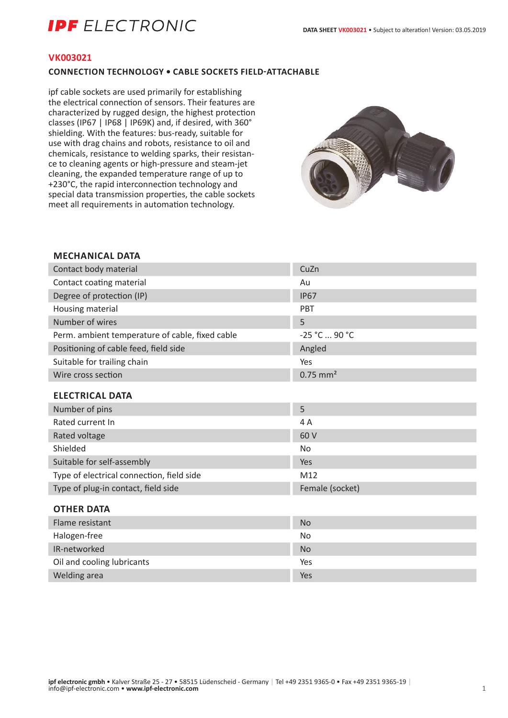# **IPF** ELECTRONIC

### **VK003021**

### **CONNECTION TECHNOLOGY • CABLE SOCKETS FIELD-ATTACHABLE**

ipf cable sockets are used primarily for establishing the electrical connection of sensors. Their features are characterized by rugged design, the highest protection classes (IP67 | IP68 | IP69K) and, if desired, with 360° shielding. With the features: bus-ready, suitable for use with drag chains and robots, resistance to oil and chemicals, resistance to welding sparks, their resistance to cleaning agents or high-pressure and steam-jet cleaning, the expanded temperature range of up to +230°C, the rapid interconnection technology and special data transmission properties, the cable sockets meet all requirements in automation technology.



## **MECHANICAL DATA**

| Contact body material                           | CuZn                   |
|-------------------------------------------------|------------------------|
| Contact coating material                        | Au                     |
| Degree of protection (IP)                       | <b>IP67</b>            |
| Housing material                                | PBT                    |
| Number of wires                                 | 5                      |
| Perm. ambient temperature of cable, fixed cable | -25 °C  90 °C          |
| Positioning of cable feed, field side           | Angled                 |
| Suitable for trailing chain                     | Yes                    |
| Wire cross section                              | $0.75$ mm <sup>2</sup> |
| <b>ELECTRICAL DATA</b>                          |                        |
| Number of pins                                  | 5                      |
| Rated current In                                | 4 A                    |
| Rated voltage                                   | 60 V                   |
| Shielded                                        | No                     |
| Suitable for self-assembly                      | Yes                    |
| Type of electrical connection, field side       | M12                    |
| Type of plug-in contact, field side             | Female (socket)        |
| <b>OTHER DATA</b>                               |                        |
| Flame resistant                                 | <b>No</b>              |
| Halogen-free                                    | No                     |
| IR-networked                                    | <b>No</b>              |
| Oil and cooling lubricants                      | Yes                    |

Welding area Yes